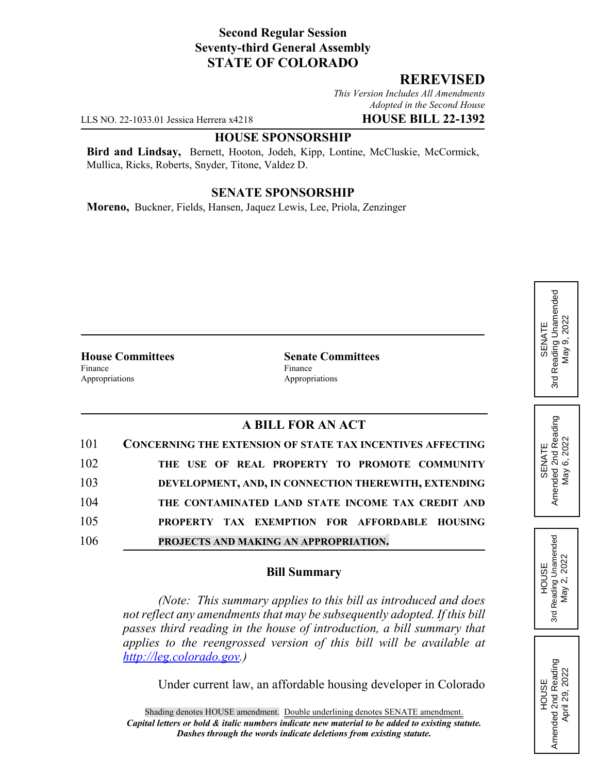## **Second Regular Session Seventy-third General Assembly STATE OF COLORADO**

## **REREVISED**

*This Version Includes All Amendments Adopted in the Second House*

LLS NO. 22-1033.01 Jessica Herrera x4218 **HOUSE BILL 22-1392**

#### **HOUSE SPONSORSHIP**

**Bird and Lindsay,** Bernett, Hooton, Jodeh, Kipp, Lontine, McCluskie, McCormick, Mullica, Ricks, Roberts, Snyder, Titone, Valdez D.

#### **SENATE SPONSORSHIP**

**Moreno,** Buckner, Fields, Hansen, Jaquez Lewis, Lee, Priola, Zenzinger

Finance Finance Appropriations **Appropriations** 

**House Committees Senate Committees**

# **A BILL FOR AN ACT**

| 101 | <b>CONCERNING THE EXTENSION OF STATE TAX INCENTIVES AFFECTING</b> |
|-----|-------------------------------------------------------------------|
| 102 | THE USE OF REAL PROPERTY TO PROMOTE COMMUNITY                     |
| 103 | DEVELOPMENT, AND, IN CONNECTION THEREWITH, EXTENDING              |
| 104 | THE CONTAMINATED LAND STATE INCOME TAX CREDIT AND                 |
| 105 | PROPERTY TAX EXEMPTION FOR AFFORDABLE HOUSING                     |
| 106 | PROJECTS AND MAKING AN APPROPRIATION.                             |

### **Bill Summary**

*(Note: This summary applies to this bill as introduced and does not reflect any amendments that may be subsequently adopted. If this bill passes third reading in the house of introduction, a bill summary that applies to the reengrossed version of this bill will be available at http://leg.colorado.gov.)*

Under current law, an affordable housing developer in Colorado



HOUSE<br>Amended 2nd Reading Amended 2nd Reading April 29, 2022

April 29, 2022

SENATE<br>Amended 2nd Reading<br>May 6, 2022 Amended 2nd Reading May 6, 2022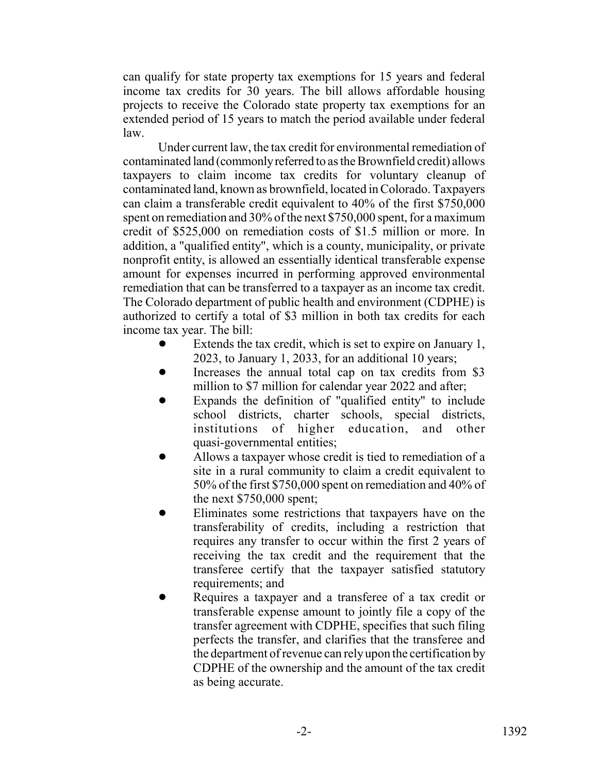can qualify for state property tax exemptions for 15 years and federal income tax credits for 30 years. The bill allows affordable housing projects to receive the Colorado state property tax exemptions for an extended period of 15 years to match the period available under federal law.

Under current law, the tax credit for environmental remediation of contaminated land (commonly referred to as the Brownfield credit) allows taxpayers to claim income tax credits for voluntary cleanup of contaminated land, known as brownfield, located in Colorado. Taxpayers can claim a transferable credit equivalent to 40% of the first \$750,000 spent on remediation and 30% of the next \$750,000 spent, for a maximum credit of \$525,000 on remediation costs of \$1.5 million or more. In addition, a "qualified entity", which is a county, municipality, or private nonprofit entity, is allowed an essentially identical transferable expense amount for expenses incurred in performing approved environmental remediation that can be transferred to a taxpayer as an income tax credit. The Colorado department of public health and environment (CDPHE) is authorized to certify a total of \$3 million in both tax credits for each income tax year. The bill:

- Extends the tax credit, which is set to expire on January 1, 2023, to January 1, 2033, for an additional 10 years;
- Increases the annual total cap on tax credits from \$3 million to \$7 million for calendar year 2022 and after;
- Expands the definition of "qualified entity" to include school districts, charter schools, special districts, institutions of higher education, and other quasi-governmental entities;
- Allows a taxpayer whose credit is tied to remediation of a site in a rural community to claim a credit equivalent to 50% of the first \$750,000 spent on remediation and 40% of the next \$750,000 spent;
- ! Eliminates some restrictions that taxpayers have on the transferability of credits, including a restriction that requires any transfer to occur within the first 2 years of receiving the tax credit and the requirement that the transferee certify that the taxpayer satisfied statutory requirements; and
- Requires a taxpayer and a transferee of a tax credit or transferable expense amount to jointly file a copy of the transfer agreement with CDPHE, specifies that such filing perfects the transfer, and clarifies that the transferee and the department of revenue can rely upon the certification by CDPHE of the ownership and the amount of the tax credit as being accurate.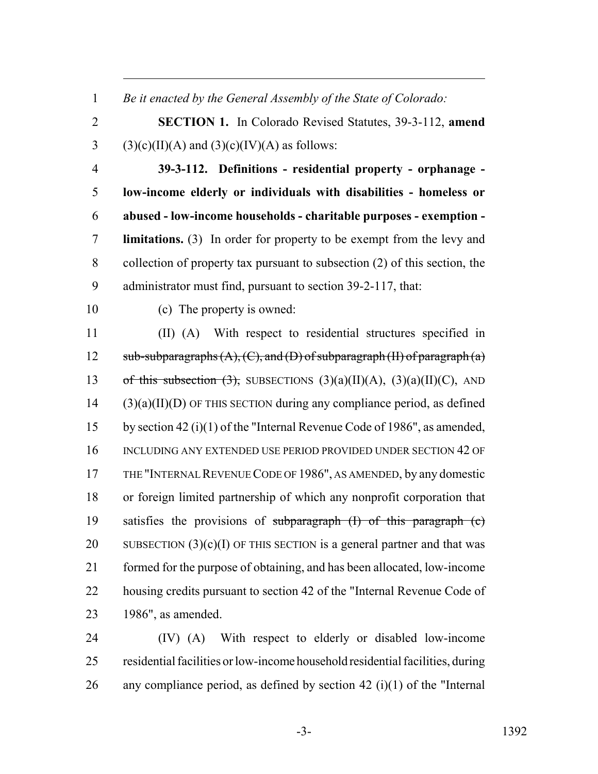*Be it enacted by the General Assembly of the State of Colorado:*

 **SECTION 1.** In Colorado Revised Statutes, 39-3-112, **amend** 3 (3)(c)(II)(A) and (3)(c)(IV)(A) as follows:

 **39-3-112. Definitions - residential property - orphanage - low-income elderly or individuals with disabilities - homeless or abused - low-income households - charitable purposes - exemption - limitations.** (3) In order for property to be exempt from the levy and collection of property tax pursuant to subsection (2) of this section, the administrator must find, pursuant to section 39-2-117, that:

(c) The property is owned:

 (II) (A) With respect to residential structures specified in 12 sub-subparagraphs  $(A)$ ,  $(C)$ , and  $(D)$  of subparagraph  $(H)$  of paragraph  $(a)$ 13 of this subsection  $(3)$ , SUBSECTIONS  $(3)(a)(II)(A)$ ,  $(3)(a)(II)(C)$ , AND (3)(a)(II)(D) OF THIS SECTION during any compliance period, as defined by section 42 (i)(1) of the "Internal Revenue Code of 1986", as amended, 16 INCLUDING ANY EXTENDED USE PERIOD PROVIDED UNDER SECTION 42 OF THE "INTERNAL REVENUE CODE OF 1986", AS AMENDED, by any domestic or foreign limited partnership of which any nonprofit corporation that 19 satisfies the provisions of subparagraph  $(I)$  of this paragraph  $(e)$ 20 SUBSECTION  $(3)(c)(I)$  OF THIS SECTION is a general partner and that was formed for the purpose of obtaining, and has been allocated, low-income 22 housing credits pursuant to section 42 of the "Internal Revenue Code of 1986", as amended.

 (IV) (A) With respect to elderly or disabled low-income residential facilities or low-income household residential facilities, during 26 any compliance period, as defined by section 42 (i)(1) of the "Internal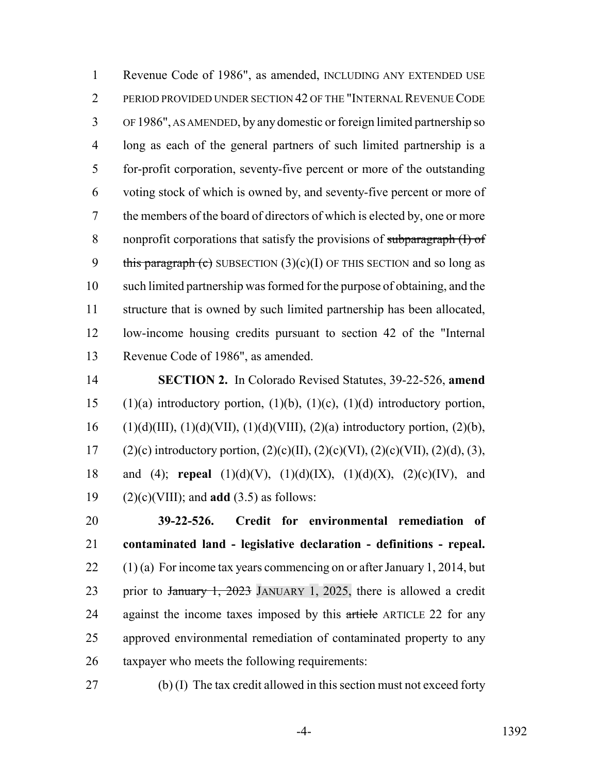Revenue Code of 1986", as amended, INCLUDING ANY EXTENDED USE PERIOD PROVIDED UNDER SECTION 42 OF THE "INTERNAL REVENUE CODE OF 1986", AS AMENDED, by any domestic or foreign limited partnership so long as each of the general partners of such limited partnership is a for-profit corporation, seventy-five percent or more of the outstanding voting stock of which is owned by, and seventy-five percent or more of the members of the board of directors of which is elected by, one or more 8 nonprofit corporations that satisfy the provisions of subparagraph (I) of 9 this paragraph (c) SUBSECTION  $(3)(c)(I)$  OF THIS SECTION and so long as such limited partnership was formed for the purpose of obtaining, and the structure that is owned by such limited partnership has been allocated, low-income housing credits pursuant to section 42 of the "Internal Revenue Code of 1986", as amended.

 **SECTION 2.** In Colorado Revised Statutes, 39-22-526, **amend** 15 (1)(a) introductory portion, (1)(b), (1)(c), (1)(d) introductory portion, 16 (1)(d)(III), (1)(d)(VII), (1)(d)(VIII), (2)(a) introductory portion, (2)(b), 17 (2)(c) introductory portion,  $(2)(c)(II)$ ,  $(2)(c)(VI)$ ,  $(2)(c)(VII)$ ,  $(2)(d)$ ,  $(3)$ , and (4); **repeal** (1)(d)(V), (1)(d)(IX), (1)(d)(X), (2)(c)(IV), and (2)(c)(VIII); and **add** (3.5) as follows:

 **39-22-526. Credit for environmental remediation of contaminated land - legislative declaration - definitions - repeal.**  $(1)$  (a) For income tax years commencing on or after January 1, 2014, but 23 prior to January 1, 2023 JANUARY 1, 2025, there is allowed a credit 24 against the income taxes imposed by this article ARTICLE 22 for any approved environmental remediation of contaminated property to any taxpayer who meets the following requirements:

(b) (I) The tax credit allowed in this section must not exceed forty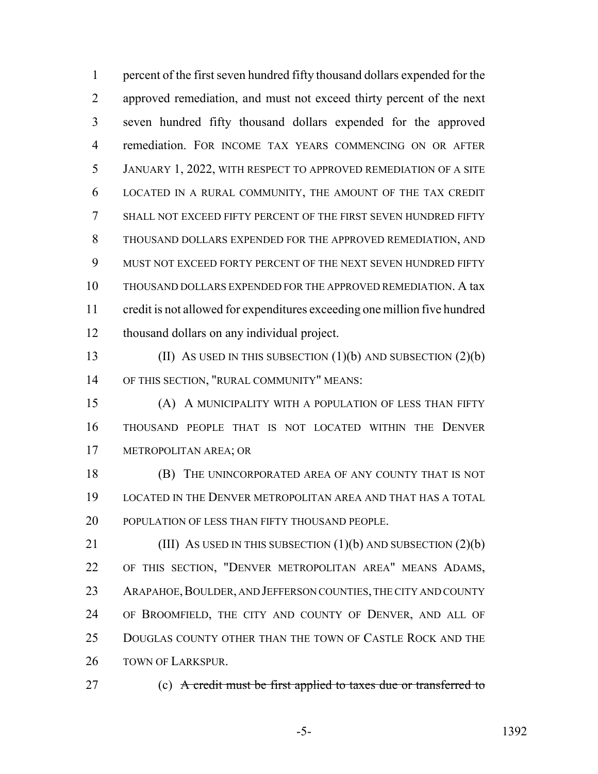percent of the first seven hundred fifty thousand dollars expended for the approved remediation, and must not exceed thirty percent of the next seven hundred fifty thousand dollars expended for the approved remediation. FOR INCOME TAX YEARS COMMENCING ON OR AFTER JANUARY 1, 2022, WITH RESPECT TO APPROVED REMEDIATION OF A SITE LOCATED IN A RURAL COMMUNITY, THE AMOUNT OF THE TAX CREDIT SHALL NOT EXCEED FIFTY PERCENT OF THE FIRST SEVEN HUNDRED FIFTY THOUSAND DOLLARS EXPENDED FOR THE APPROVED REMEDIATION, AND MUST NOT EXCEED FORTY PERCENT OF THE NEXT SEVEN HUNDRED FIFTY THOUSAND DOLLARS EXPENDED FOR THE APPROVED REMEDIATION. A tax credit is not allowed for expenditures exceeding one million five hundred thousand dollars on any individual project.

 (II) AS USED IN THIS SUBSECTION (1)(b) AND SUBSECTION (2)(b) OF THIS SECTION, "RURAL COMMUNITY" MEANS:

 (A) A MUNICIPALITY WITH A POPULATION OF LESS THAN FIFTY THOUSAND PEOPLE THAT IS NOT LOCATED WITHIN THE DENVER METROPOLITAN AREA; OR

**(B)** THE UNINCORPORATED AREA OF ANY COUNTY THAT IS NOT LOCATED IN THE DENVER METROPOLITAN AREA AND THAT HAS A TOTAL 20 POPULATION OF LESS THAN FIFTY THOUSAND PEOPLE.

**(III)** AS USED IN THIS SUBSECTION (1)(b) AND SUBSECTION (2)(b) OF THIS SECTION, "DENVER METROPOLITAN AREA" MEANS ADAMS, 23 ARAPAHOE, BOULDER, AND JEFFERSON COUNTIES, THE CITY AND COUNTY OF BROOMFIELD, THE CITY AND COUNTY OF DENVER, AND ALL OF DOUGLAS COUNTY OTHER THAN THE TOWN OF CASTLE ROCK AND THE 26 TOWN OF LARKSPUR.

27 (c) A credit must be first applied to taxes due or transferred to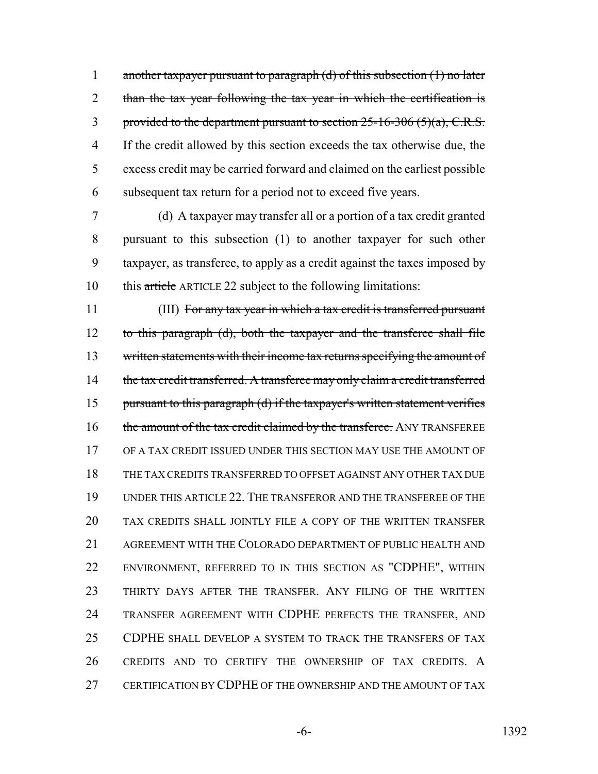1 another taxpayer pursuant to paragraph (d) of this subsection (1) no later 2 than the tax year following the tax year in which the certification is 3 provided to the department pursuant to section -16-306  $(5)(a)$ , C.R.S. If the credit allowed by this section exceeds the tax otherwise due, the excess credit may be carried forward and claimed on the earliest possible subsequent tax return for a period not to exceed five years.

 (d) A taxpayer may transfer all or a portion of a tax credit granted pursuant to this subsection (1) to another taxpayer for such other taxpayer, as transferee, to apply as a credit against the taxes imposed by this article ARTICLE 22 subject to the following limitations:

 (III) For any tax year in which a tax credit is transferred pursuant to this paragraph (d), both the taxpayer and the transferee shall file 13 written statements with their income tax returns specifying the amount of 14 the tax credit transferred. A transferee may only claim a credit transferred 15 pursuant to this paragraph (d) if the taxpayer's written statement verifies 16 the amount of the tax credit claimed by the transferee. ANY TRANSFEREE OF A TAX CREDIT ISSUED UNDER THIS SECTION MAY USE THE AMOUNT OF THE TAX CREDITS TRANSFERRED TO OFFSET AGAINST ANY OTHER TAX DUE UNDER THIS ARTICLE 22. THE TRANSFEROR AND THE TRANSFEREE OF THE TAX CREDITS SHALL JOINTLY FILE A COPY OF THE WRITTEN TRANSFER AGREEMENT WITH THE COLORADO DEPARTMENT OF PUBLIC HEALTH AND ENVIRONMENT, REFERRED TO IN THIS SECTION AS "CDPHE", WITHIN THIRTY DAYS AFTER THE TRANSFER. ANY FILING OF THE WRITTEN TRANSFER AGREEMENT WITH CDPHE PERFECTS THE TRANSFER, AND CDPHE SHALL DEVELOP A SYSTEM TO TRACK THE TRANSFERS OF TAX CREDITS AND TO CERTIFY THE OWNERSHIP OF TAX CREDITS. A 27 CERTIFICATION BY CDPHE OF THE OWNERSHIP AND THE AMOUNT OF TAX

-6- 1392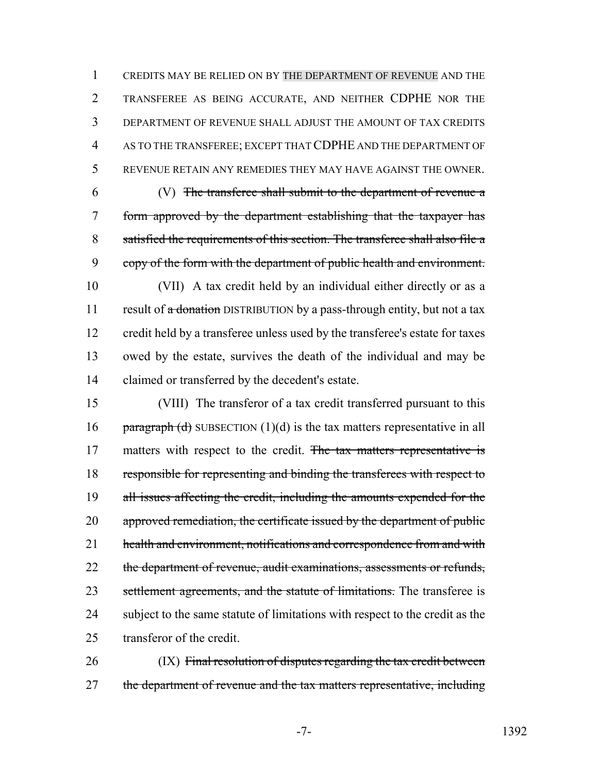CREDITS MAY BE RELIED ON BY THE DEPARTMENT OF REVENUE AND THE TRANSFEREE AS BEING ACCURATE, AND NEITHER CDPHE NOR THE DEPARTMENT OF REVENUE SHALL ADJUST THE AMOUNT OF TAX CREDITS AS TO THE TRANSFEREE; EXCEPT THAT CDPHE AND THE DEPARTMENT OF REVENUE RETAIN ANY REMEDIES THEY MAY HAVE AGAINST THE OWNER.

 (V) The transferee shall submit to the department of revenue a form approved by the department establishing that the taxpayer has satisfied the requirements of this section. The transferee shall also file a copy of the form with the department of public health and environment.

 (VII) A tax credit held by an individual either directly or as a 11 result of a donation DISTRIBUTION by a pass-through entity, but not a tax credit held by a transferee unless used by the transferee's estate for taxes owed by the estate, survives the death of the individual and may be claimed or transferred by the decedent's estate.

15 (VIII) The transferor of a tax credit transferred pursuant to this 16 paragraph (d) SUBSECTION  $(1)(d)$  is the tax matters representative in all 17 matters with respect to the credit. The tax matters representative is 18 responsible for representing and binding the transferees with respect to 19 all issues affecting the credit, including the amounts expended for the 20 approved remediation, the certificate issued by the department of public 21 health and environment, notifications and correspondence from and with 22 the department of revenue, audit examinations, assessments or refunds, 23 settlement agreements, and the statute of limitations. The transferee is 24 subject to the same statute of limitations with respect to the credit as the 25 transferor of the credit.

26 (IX) Final resolution of disputes regarding the tax credit between 27 the department of revenue and the tax matters representative, including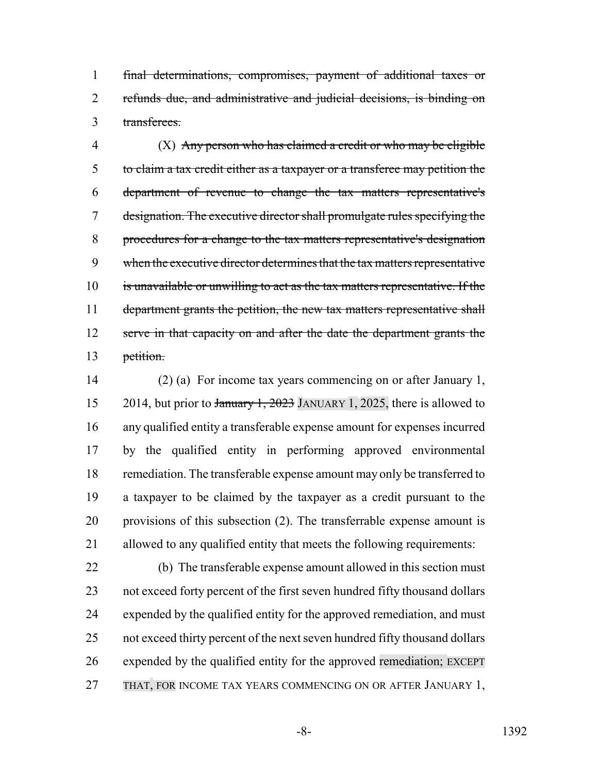final determinations, compromises, payment of additional taxes or refunds due, and administrative and judicial decisions, is binding on transferees.

 (X) Any person who has claimed a credit or who may be eligible to claim a tax credit either as a taxpayer or a transferee may petition the department of revenue to change the tax matters representative's designation. The executive director shall promulgate rules specifying the procedures for a change to the tax matters representative's designation 9 when the executive director determines that the tax matters representative is unavailable or unwilling to act as the tax matters representative. If the 11 department grants the petition, the new tax matters representative shall 12 serve in that capacity on and after the date the department grants the petition.

 (2) (a) For income tax years commencing on or after January 1, 15 2014, but prior to January 1, 2023 JANUARY 1, 2025, there is allowed to any qualified entity a transferable expense amount for expenses incurred by the qualified entity in performing approved environmental 18 remediation. The transferable expense amount may only be transferred to a taxpayer to be claimed by the taxpayer as a credit pursuant to the provisions of this subsection (2). The transferrable expense amount is allowed to any qualified entity that meets the following requirements:

 (b) The transferable expense amount allowed in this section must not exceed forty percent of the first seven hundred fifty thousand dollars expended by the qualified entity for the approved remediation, and must not exceed thirty percent of the next seven hundred fifty thousand dollars expended by the qualified entity for the approved remediation; EXCEPT 27 THAT, FOR INCOME TAX YEARS COMMENCING ON OR AFTER JANUARY 1,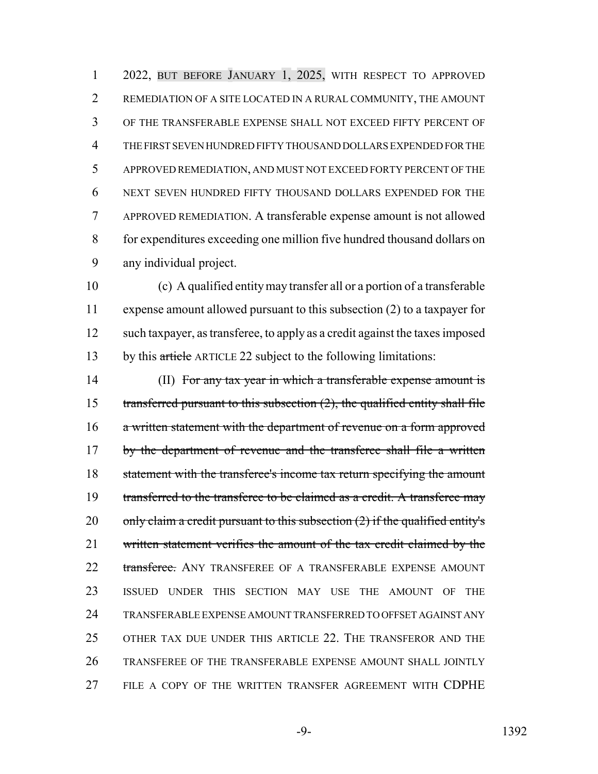2022, BUT BEFORE JANUARY 1, 2025, WITH RESPECT TO APPROVED REMEDIATION OF A SITE LOCATED IN A RURAL COMMUNITY, THE AMOUNT OF THE TRANSFERABLE EXPENSE SHALL NOT EXCEED FIFTY PERCENT OF THE FIRST SEVEN HUNDRED FIFTY THOUSAND DOLLARS EXPENDED FOR THE APPROVED REMEDIATION, AND MUST NOT EXCEED FORTY PERCENT OF THE NEXT SEVEN HUNDRED FIFTY THOUSAND DOLLARS EXPENDED FOR THE APPROVED REMEDIATION. A transferable expense amount is not allowed for expenditures exceeding one million five hundred thousand dollars on any individual project.

 (c) A qualified entity may transfer all or a portion of a transferable expense amount allowed pursuant to this subsection (2) to a taxpayer for such taxpayer, as transferee, to apply as a credit against the taxes imposed 13 by this article ARTICLE 22 subject to the following limitations:

14 (II) For any tax year in which a transferable expense amount is 15 transferred pursuant to this subsection  $(2)$ , the qualified entity shall file a written statement with the department of revenue on a form approved 17 by the department of revenue and the transferee shall file a written 18 statement with the transferee's income tax return specifying the amount 19 transferred to the transferee to be claimed as a credit. A transferee may 20 only claim a credit pursuant to this subsection  $(2)$  if the qualified entity's written statement verifies the amount of the tax credit claimed by the 22 transferee. ANY TRANSFEREE OF A TRANSFERABLE EXPENSE AMOUNT ISSUED UNDER THIS SECTION MAY USE THE AMOUNT OF THE TRANSFERABLE EXPENSE AMOUNT TRANSFERRED TO OFFSET AGAINST ANY OTHER TAX DUE UNDER THIS ARTICLE 22. THE TRANSFEROR AND THE TRANSFEREE OF THE TRANSFERABLE EXPENSE AMOUNT SHALL JOINTLY FILE A COPY OF THE WRITTEN TRANSFER AGREEMENT WITH CDPHE

-9- 1392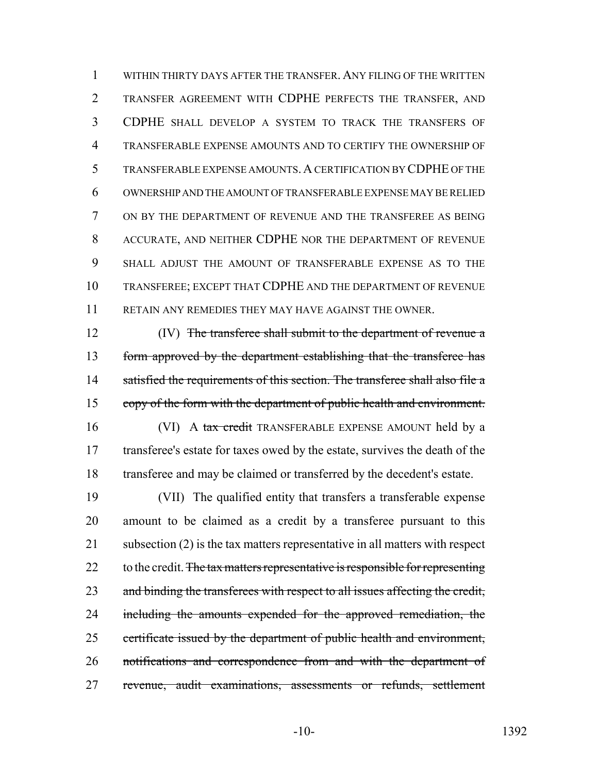WITHIN THIRTY DAYS AFTER THE TRANSFER. ANY FILING OF THE WRITTEN TRANSFER AGREEMENT WITH CDPHE PERFECTS THE TRANSFER, AND CDPHE SHALL DEVELOP A SYSTEM TO TRACK THE TRANSFERS OF TRANSFERABLE EXPENSE AMOUNTS AND TO CERTIFY THE OWNERSHIP OF TRANSFERABLE EXPENSE AMOUNTS.A CERTIFICATION BY CDPHE OF THE OWNERSHIP AND THE AMOUNT OF TRANSFERABLE EXPENSE MAY BE RELIED ON BY THE DEPARTMENT OF REVENUE AND THE TRANSFEREE AS BEING ACCURATE, AND NEITHER CDPHE NOR THE DEPARTMENT OF REVENUE SHALL ADJUST THE AMOUNT OF TRANSFERABLE EXPENSE AS TO THE TRANSFEREE; EXCEPT THAT CDPHE AND THE DEPARTMENT OF REVENUE RETAIN ANY REMEDIES THEY MAY HAVE AGAINST THE OWNER.

12 (IV) The transferee shall submit to the department of revenue a form approved by the department establishing that the transferee has 14 satisfied the requirements of this section. The transferee shall also file a copy of the form with the department of public health and environment.

16 (VI) A tax credit TRANSFERABLE EXPENSE AMOUNT held by a transferee's estate for taxes owed by the estate, survives the death of the transferee and may be claimed or transferred by the decedent's estate.

 (VII) The qualified entity that transfers a transferable expense amount to be claimed as a credit by a transferee pursuant to this 21 subsection (2) is the tax matters representative in all matters with respect 22 to the credit. The tax matters representative is responsible for representing 23 and binding the transferees with respect to all issues affecting the credit, 24 including the amounts expended for the approved remediation, the 25 certificate issued by the department of public health and environment, notifications and correspondence from and with the department of revenue, audit examinations, assessments or refunds, settlement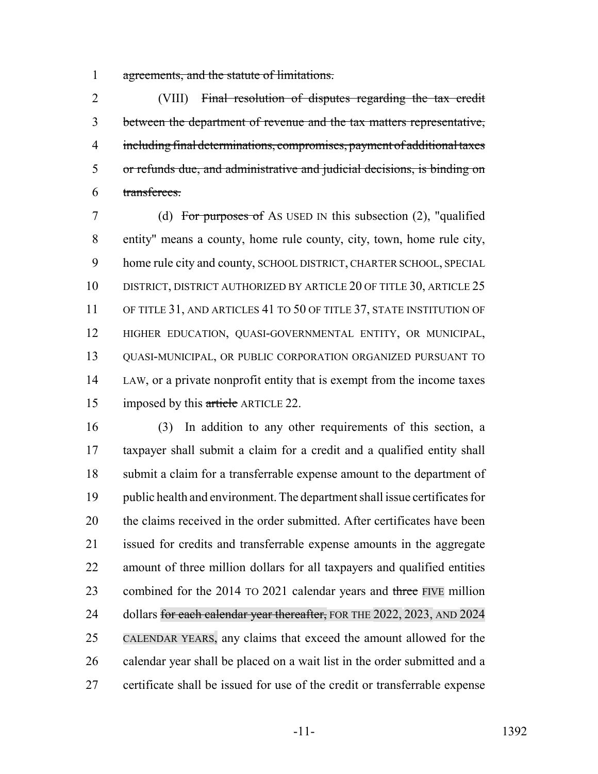agreements, and the statute of limitations.

 (VIII) Final resolution of disputes regarding the tax credit between the department of revenue and the tax matters representative, including final determinations, compromises, payment of additional taxes or refunds due, and administrative and judicial decisions, is binding on transferees.

 (d) For purposes of AS USED IN this subsection (2), "qualified entity" means a county, home rule county, city, town, home rule city, home rule city and county, SCHOOL DISTRICT, CHARTER SCHOOL, SPECIAL 10 DISTRICT, DISTRICT AUTHORIZED BY ARTICLE 20 OF TITLE 30, ARTICLE 25 11 OF TITLE 31, AND ARTICLES 41 TO 50 OF TITLE 37, STATE INSTITUTION OF HIGHER EDUCATION, QUASI-GOVERNMENTAL ENTITY, OR MUNICIPAL, QUASI-MUNICIPAL, OR PUBLIC CORPORATION ORGANIZED PURSUANT TO LAW, or a private nonprofit entity that is exempt from the income taxes 15 imposed by this article ARTICLE 22.

 (3) In addition to any other requirements of this section, a taxpayer shall submit a claim for a credit and a qualified entity shall submit a claim for a transferrable expense amount to the department of public health and environment. The department shall issue certificates for the claims received in the order submitted. After certificates have been issued for credits and transferrable expense amounts in the aggregate amount of three million dollars for all taxpayers and qualified entities 23 combined for the 2014 TO 2021 calendar years and three FIVE million 24 dollars for each calendar year thereafter, FOR THE 2022, 2023, AND 2024 CALENDAR YEARS, any claims that exceed the amount allowed for the calendar year shall be placed on a wait list in the order submitted and a certificate shall be issued for use of the credit or transferrable expense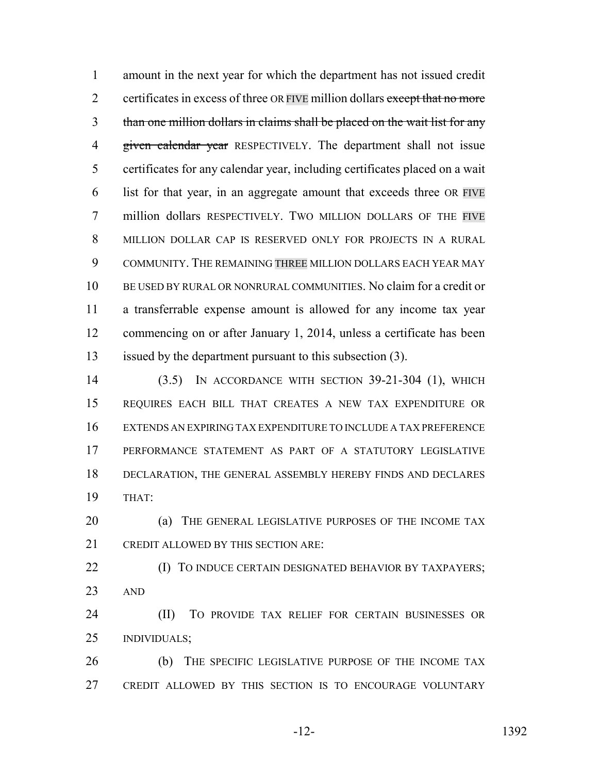amount in the next year for which the department has not issued credit 2 certificates in excess of three OR FIVE million dollars except that no more than one million dollars in claims shall be placed on the wait list for any 4 given calendar year RESPECTIVELY. The department shall not issue certificates for any calendar year, including certificates placed on a wait list for that year, in an aggregate amount that exceeds three OR FIVE million dollars RESPECTIVELY. TWO MILLION DOLLARS OF THE FIVE MILLION DOLLAR CAP IS RESERVED ONLY FOR PROJECTS IN A RURAL COMMUNITY. THE REMAINING THREE MILLION DOLLARS EACH YEAR MAY BE USED BY RURAL OR NONRURAL COMMUNITIES. No claim for a credit or a transferrable expense amount is allowed for any income tax year commencing on or after January 1, 2014, unless a certificate has been issued by the department pursuant to this subsection (3).

 (3.5) IN ACCORDANCE WITH SECTION 39-21-304 (1), WHICH REQUIRES EACH BILL THAT CREATES A NEW TAX EXPENDITURE OR EXTENDS AN EXPIRING TAX EXPENDITURE TO INCLUDE A TAX PREFERENCE PERFORMANCE STATEMENT AS PART OF A STATUTORY LEGISLATIVE DECLARATION, THE GENERAL ASSEMBLY HEREBY FINDS AND DECLARES THAT:

**(a) THE GENERAL LEGISLATIVE PURPOSES OF THE INCOME TAX** CREDIT ALLOWED BY THIS SECTION ARE:

**(I) TO INDUCE CERTAIN DESIGNATED BEHAVIOR BY TAXPAYERS;** AND

 (II) TO PROVIDE TAX RELIEF FOR CERTAIN BUSINESSES OR INDIVIDUALS;

 (b) THE SPECIFIC LEGISLATIVE PURPOSE OF THE INCOME TAX CREDIT ALLOWED BY THIS SECTION IS TO ENCOURAGE VOLUNTARY